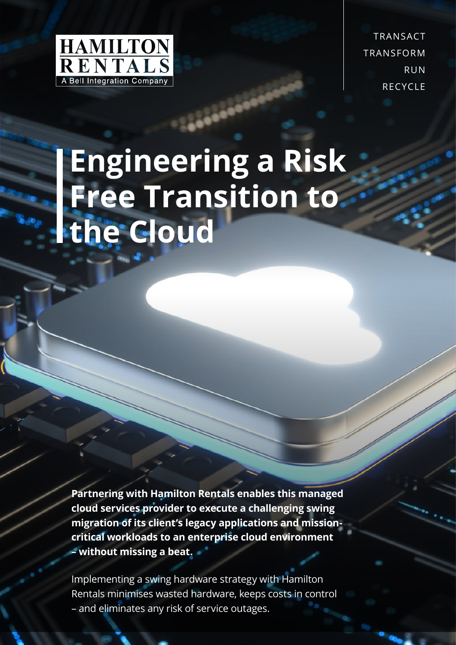

TRANSACT TRANSFORM RUN **RECYCLE** 

# **Engineering a Risk Free Transition to the Cloud**

**Partnering with Hamilton Rentals enables this managed cloud services provider to execute a challenging swing migration of its client's legacy applications and missioncritical workloads to an enterprise cloud environment – without missing a beat.**

Implementing a swing hardware strategy with Hamilton Rentals minimises wasted hardware, keeps costs in control – and eliminates any risk of service outages.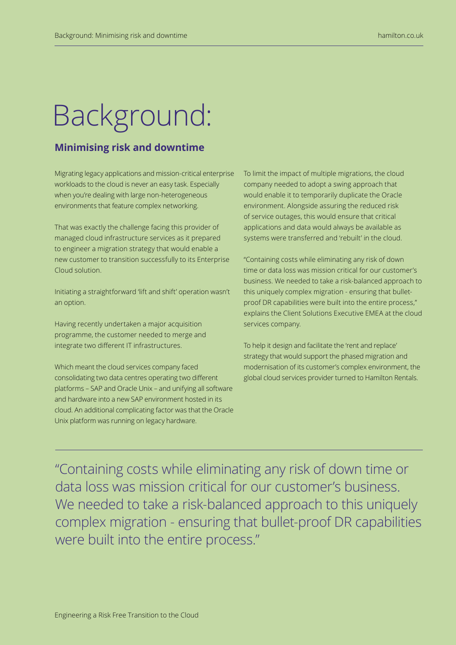## Background:

### **Minimising risk and downtime**

Migrating legacy applications and mission-critical enterprise workloads to the cloud is never an easy task. Especially when you're dealing with large non-heterogeneous environments that feature complex networking.

That was exactly the challenge facing this provider of managed cloud infrastructure services as it prepared to engineer a migration strategy that would enable a new customer to transition successfully to its Enterprise Cloud solution.

Initiating a straightforward 'lift and shift' operation wasn't an option.

Having recently undertaken a major acquisition programme, the customer needed to merge and integrate two different IT infrastructures.

Which meant the cloud services company faced consolidating two data centres operating two different platforms – SAP and Oracle Unix – and unifying all software and hardware into a new SAP environment hosted in its cloud. An additional complicating factor was that the Oracle Unix platform was running on legacy hardware.

To limit the impact of multiple migrations, the cloud company needed to adopt a swing approach that would enable it to temporarily duplicate the Oracle environment. Alongside assuring the reduced risk of service outages, this would ensure that critical applications and data would always be available as systems were transferred and 'rebuilt' in the cloud.

"Containing costs while eliminating any risk of down time or data loss was mission critical for our customer's business. We needed to take a risk-balanced approach to this uniquely complex migration - ensuring that bulletproof DR capabilities were built into the entire process," explains the Client Solutions Executive EMEA at the cloud services company.

To help it design and facilitate the 'rent and replace' strategy that would support the phased migration and modernisation of its customer's complex environment, the global cloud services provider turned to Hamilton Rentals.

"Containing costs while eliminating any risk of down time or data loss was mission critical for our customer's business. We needed to take a risk-balanced approach to this uniquely complex migration - ensuring that bullet-proof DR capabilities were built into the entire process."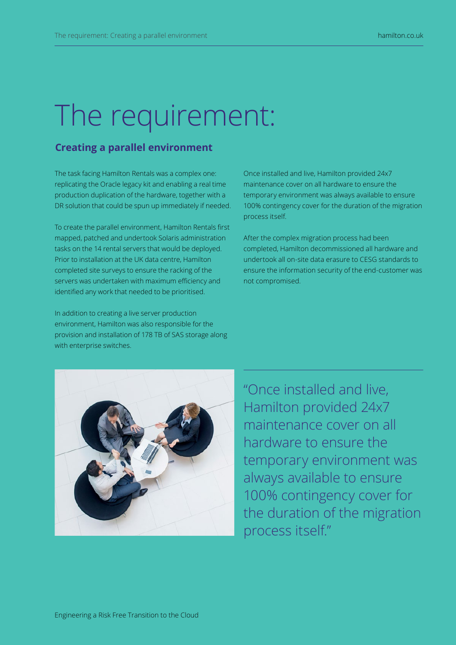## The requirement:

### **Creating a parallel environment**

The task facing Hamilton Rentals was a complex one: replicating the Oracle legacy kit and enabling a real time production duplication of the hardware, together with a DR solution that could be spun up immediately if needed.

To create the parallel environment, Hamilton Rentals first mapped, patched and undertook Solaris administration tasks on the 14 rental servers that would be deployed. Prior to installation at the UK data centre, Hamilton completed site surveys to ensure the racking of the servers was undertaken with maximum efficiency and identified any work that needed to be prioritised.

In addition to creating a live server production environment, Hamilton was also responsible for the provision and installation of 178 TB of SAS storage along with enterprise switches.

Once installed and live, Hamilton provided 24x7 maintenance cover on all hardware to ensure the temporary environment was always available to ensure 100% contingency cover for the duration of the migration process itself.

After the complex migration process had been completed, Hamilton decommissioned all hardware and undertook all on-site data erasure to CESG standards to ensure the information security of the end-customer was not compromised.



"Once installed and live, Hamilton provided 24x7 maintenance cover on all hardware to ensure the temporary environment was always available to ensure 100% contingency cover for the duration of the migration process itself."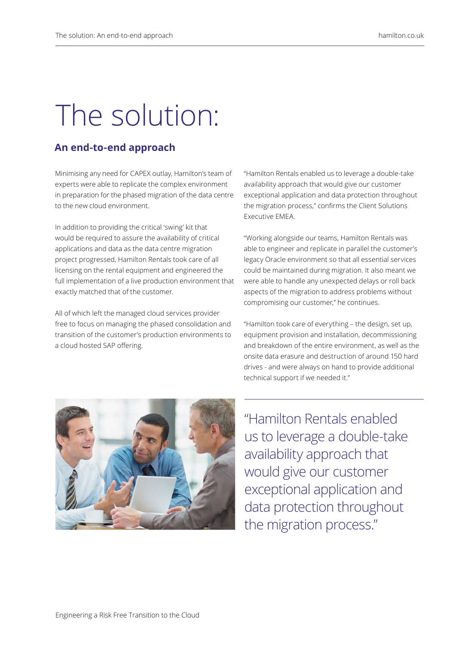## The solution:

### **An end-to-end approach**

Minimising any need for CAPEX outlay, Hamilton's team of experts were able to replicate the complex environment in preparation for the phased migration of the data centre to the new cloud environment.

In addition to providing the critical 'swing' kit that would be required to assure the availability of critical applications and data as the data centre migration project progressed, Hamilton Rentals took care of all licensing on the rental equipment and engineered the full implementation of a live production environment that exactly matched that of the customer.

All of which left the managed cloud services provider free to focus on managing the phased consolidation and transition of the customer's production environments to a cloud hosted SAP offering.

"Hamilton Rentals enabled us to leverage a double-take availability approach that would give our customer exceptional application and data protection throughout the migration process," confirms the Client Solutions Executive EMEA.

"Working alongside our teams, Hamilton Rentals was able to engineer and replicate in parallel the customer's legacy Oracle environment so that all essential services could be maintained during migration. It also meant we were able to handle any unexpected delays or roll back aspects of the migration to address problems without compromising our customer," he continues.

"Hamilton took care of everything – the design, set up, equipment provision and installation, decommissioning and breakdown of the entire environment, as well as the onsite data erasure and destruction of around 150 hard drives - and were always on hand to provide additional technical support if we needed it."

"Hamilton Rentals enabled

us to leverage a double-take availability approach that would give our customer exceptional application and data protection throughout the migration process."

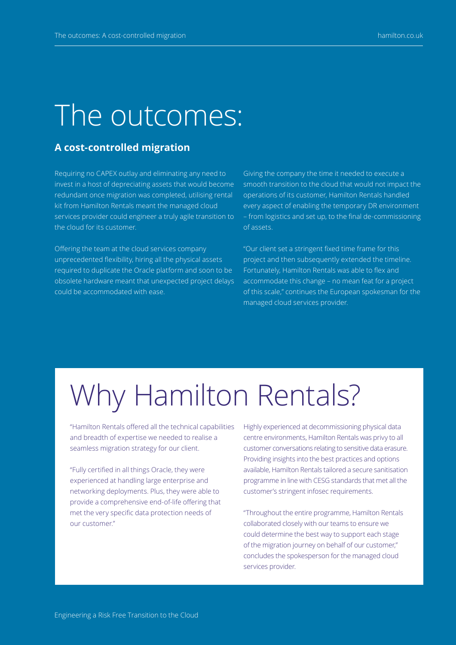### The outcomes:

### **A cost-controlled migration**

Requiring no CAPEX outlay and eliminating any need to invest in a host of depreciating assets that would become redundant once migration was completed, utilising rental kit from Hamilton Rentals meant the managed cloud services provider could engineer a truly agile transition to the cloud for its customer.

Offering the team at the cloud services company unprecedented flexibility, hiring all the physical assets required to duplicate the Oracle platform and soon to be obsolete hardware meant that unexpected project delays could be accommodated with ease.

Giving the company the time it needed to execute a smooth transition to the cloud that would not impact the operations of its customer, Hamilton Rentals handled every aspect of enabling the temporary DR environment – from logistics and set up, to the final de-commissioning of assets.

"Our client set a stringent fixed time frame for this project and then subsequently extended the timeline. Fortunately, Hamilton Rentals was able to flex and accommodate this change – no mean feat for a project of this scale," continues the European spokesman for the managed cloud services provider.

## Why Hamilton Rentals?

"Hamilton Rentals offered all the technical capabilities and breadth of expertise we needed to realise a seamless migration strategy for our client.

"Fully certified in all things Oracle, they were experienced at handling large enterprise and networking deployments. Plus, they were able to provide a comprehensive end-of-life offering that met the very specific data protection needs of our customer."

Highly experienced at decommissioning physical data centre environments, Hamilton Rentals was privy to all customer conversations relating to sensitive data erasure. Providing insights into the best practices and options available, Hamilton Rentals tailored a secure sanitisation programme in line with CESG standards that met all the customer's stringent infosec requirements.

"Throughout the entire programme, Hamilton Rentals collaborated closely with our teams to ensure we could determine the best way to support each stage of the migration journey on behalf of our customer," concludes the spokesperson for the managed cloud services provider.